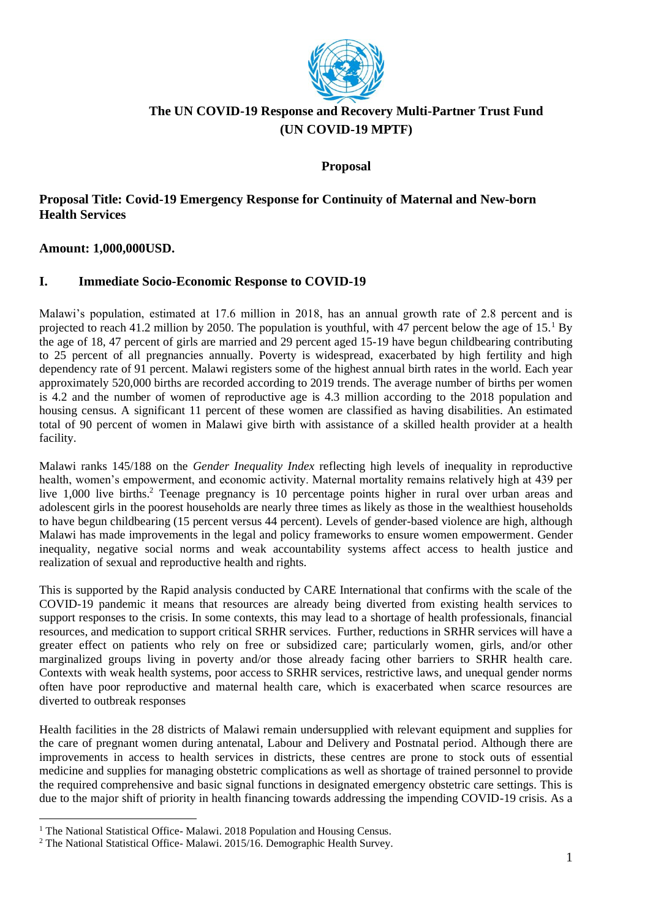

### **The UN COVID-19 Response and Recovery Multi-Partner Trust Fund (UN COVID-19 MPTF)**

**Proposal**

### **Proposal Title: Covid-19 Emergency Response for Continuity of Maternal and New-born Health Services**

**Amount: 1,000,000USD.**

### **I. Immediate Socio-Economic Response to COVID-19**

Malawi's population, estimated at 17.6 million in 2018, has an annual growth rate of 2.8 percent and is projected to reach 41.2 million by 2050. The population is youthful, with 47 percent below the age of  $15<sup>1</sup>$  By the age of 18, 47 percent of girls are married and 29 percent aged 15-19 have begun childbearing contributing to 25 percent of all pregnancies annually. Poverty is widespread, exacerbated by high fertility and high dependency rate of 91 percent. Malawi registers some of the highest annual birth rates in the world. Each year approximately 520,000 births are recorded according to 2019 trends. The average number of births per women is 4.2 and the number of women of reproductive age is 4.3 million according to the 2018 population and housing census. A significant 11 percent of these women are classified as having disabilities. An estimated total of 90 percent of women in Malawi give birth with assistance of a skilled health provider at a health facility.

Malawi ranks 145/188 on the *Gender Inequality Index* reflecting high levels of inequality in reproductive health, women's empowerment, and economic activity. Maternal mortality remains relatively high at 439 per live 1,000 live births.<sup>2</sup> Teenage pregnancy is 10 percentage points higher in rural over urban areas and adolescent girls in the poorest households are nearly three times as likely as those in the wealthiest households to have begun childbearing (15 percent versus 44 percent). Levels of gender-based violence are high, although Malawi has made improvements in the legal and policy frameworks to ensure women empowerment. Gender inequality, negative social norms and weak accountability systems affect access to health justice and realization of sexual and reproductive health and rights.

This is supported by the Rapid analysis conducted by CARE International that confirms with the scale of the COVID-19 pandemic it means that resources are already being diverted from existing health services to support responses to the crisis. In some contexts, this may lead to a shortage of health professionals, financial resources, and medication to support critical SRHR services. Further, reductions in SRHR services will have a greater effect on patients who rely on free or subsidized care; particularly women, girls, and/or other marginalized groups living in poverty and/or those already facing other barriers to SRHR health care. Contexts with weak health systems, poor access to SRHR services, restrictive laws, and unequal gender norms often have poor reproductive and maternal health care, which is exacerbated when scarce resources are diverted to outbreak responses

Health facilities in the 28 districts of Malawi remain undersupplied with relevant equipment and supplies for the care of pregnant women during antenatal, Labour and Delivery and Postnatal period. Although there are improvements in access to health services in districts, these centres are prone to stock outs of essential medicine and supplies for managing obstetric complications as well as shortage of trained personnel to provide the required comprehensive and basic signal functions in designated emergency obstetric care settings. This is due to the major shift of priority in health financing towards addressing the impending COVID-19 crisis. As a

<sup>&</sup>lt;sup>1</sup> The National Statistical Office- Malawi. 2018 Population and Housing Census.

<sup>&</sup>lt;sup>2</sup> The National Statistical Office- Malawi. 2015/16. Demographic Health Survey.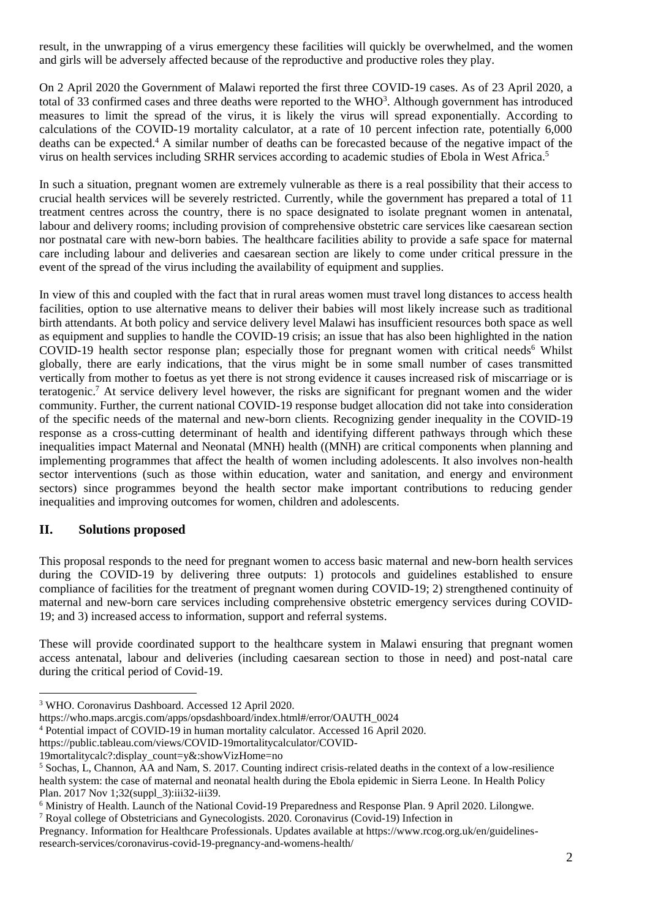result, in the unwrapping of a virus emergency these facilities will quickly be overwhelmed, and the women and girls will be adversely affected because of the reproductive and productive roles they play.

On 2 April 2020 the Government of Malawi reported the first three COVID-19 cases. As of 23 April 2020, a total of 33 confirmed cases and three deaths were reported to the  $WHO<sup>3</sup>$ . Although government has introduced measures to limit the spread of the virus, it is likely the virus will spread exponentially. According to calculations of the COVID-19 mortality calculator, at a rate of 10 percent infection rate, potentially 6,000 deaths can be expected.<sup>4</sup> A similar number of deaths can be forecasted because of the negative impact of the virus on health services including SRHR services according to academic studies of Ebola in West Africa.<sup>5</sup>

In such a situation, pregnant women are extremely vulnerable as there is a real possibility that their access to crucial health services will be severely restricted. Currently, while the government has prepared a total of 11 treatment centres across the country, there is no space designated to isolate pregnant women in antenatal, labour and delivery rooms; including provision of comprehensive obstetric care services like caesarean section nor postnatal care with new-born babies. The healthcare facilities ability to provide a safe space for maternal care including labour and deliveries and caesarean section are likely to come under critical pressure in the event of the spread of the virus including the availability of equipment and supplies.

In view of this and coupled with the fact that in rural areas women must travel long distances to access health facilities, option to use alternative means to deliver their babies will most likely increase such as traditional birth attendants. At both policy and service delivery level Malawi has insufficient resources both space as well as equipment and supplies to handle the COVID-19 crisis; an issue that has also been highlighted in the nation  $COVID-19$  health sector response plan; especially those for pregnant women with critical needs<sup>6</sup> Whilst globally, there are early indications, that the virus might be in some small number of cases transmitted vertically from mother to foetus as yet there is not strong evidence it causes increased risk of miscarriage or is teratogenic.<sup>7</sup> At service delivery level however, the risks are significant for pregnant women and the wider community. Further, the current national COVID-19 response budget allocation did not take into consideration of the specific needs of the maternal and new-born clients. Recognizing gender inequality in the COVID-19 response as a cross-cutting determinant of health and identifying different pathways through which these inequalities impact Maternal and Neonatal (MNH) health ((MNH) are critical components when planning and implementing programmes that affect the health of women including adolescents. It also involves non-health sector interventions (such as those within education, water and sanitation, and energy and environment sectors) since programmes beyond the health sector make important contributions to reducing gender inequalities and improving outcomes for women, children and adolescents.

### **II. Solutions proposed**

This proposal responds to the need for pregnant women to access basic maternal and new-born health services during the COVID-19 by delivering three outputs: 1) protocols and guidelines established to ensure compliance of facilities for the treatment of pregnant women during COVID-19; 2) strengthened continuity of maternal and new-born care services including comprehensive obstetric emergency services during COVID-19; and 3) increased access to information, support and referral systems.

These will provide coordinated support to the healthcare system in Malawi ensuring that pregnant women access antenatal, labour and deliveries (including caesarean section to those in need) and post-natal care during the critical period of Covid-19.

<sup>3</sup> WHO. Coronavirus Dashboard. Accessed 12 April 2020.

https://who.maps.arcgis.com/apps/opsdashboard/index.html#/error/OAUTH\_0024

<sup>4</sup> Potential impact of COVID-19 in human mortality calculator. Accessed 16 April 2020.

https://public.tableau.com/views/COVID-19mortalitycalculator/COVID-

<sup>19</sup>mortalitycalc?:display\_count=y&:showVizHome=no

<sup>5</sup> Sochas, L, Channon, AA and Nam, S. 2017. Counting indirect crisis-related deaths in the context of a low-resilience health system: the case of maternal and neonatal health during the Ebola epidemic in Sierra Leone. I[n Health Policy](https://www.ncbi.nlm.nih.gov/pubmed/29149310)  [Plan.](https://www.ncbi.nlm.nih.gov/pubmed/29149310) 2017 Nov 1;32(suppl\_3):iii32-iii39.

<sup>6</sup> Ministry of Health. Launch of the National Covid-19 Preparedness and Response Plan. 9 April 2020. Lilongwe.

<sup>7</sup> Royal college of Obstetricians and Gynecologists. 2020. Coronavirus (Covid-19) Infection in

Pregnancy. Information for Healthcare Professionals. Updates available at https://www.rcog.org.uk/en/guidelinesresearch-services/coronavirus-covid-19-pregnancy-and-womens-health/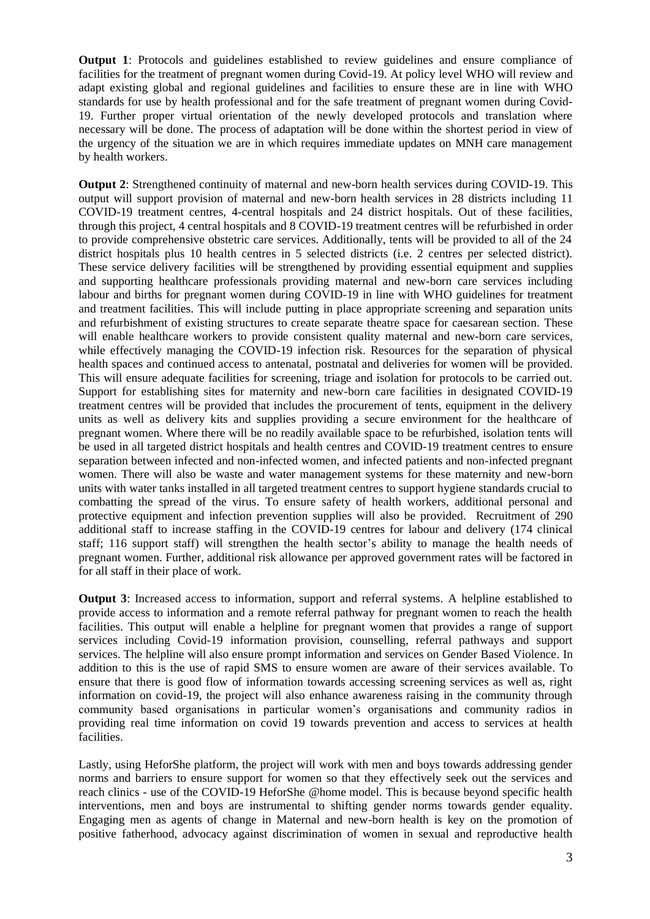**Output 1**: Protocols and guidelines established to review guidelines and ensure compliance of facilities for the treatment of pregnant women during Covid-19. At policy level WHO will review and adapt existing global and regional guidelines and facilities to ensure these are in line with WHO standards for use by health professional and for the safe treatment of pregnant women during Covid-19. Further proper virtual orientation of the newly developed protocols and translation where necessary will be done. The process of adaptation will be done within the shortest period in view of the urgency of the situation we are in which requires immediate updates on MNH care management by health workers.

**Output 2**: Strengthened continuity of maternal and new-born health services during COVID-19. This output will support provision of maternal and new-born health services in 28 districts including 11 COVID-19 treatment centres, 4-central hospitals and 24 district hospitals. Out of these facilities, through this project, 4 central hospitals and 8 COVID-19 treatment centres will be refurbished in order to provide comprehensive obstetric care services. Additionally, tents will be provided to all of the 24 district hospitals plus 10 health centres in 5 selected districts (i.e. 2 centres per selected district). These service delivery facilities will be strengthened by providing essential equipment and supplies and supporting healthcare professionals providing maternal and new-born care services including labour and births for pregnant women during COVID-19 in line with WHO guidelines for treatment and treatment facilities. This will include putting in place appropriate screening and separation units and refurbishment of existing structures to create separate theatre space for caesarean section. These will enable healthcare workers to provide consistent quality maternal and new-born care services, while effectively managing the COVID-19 infection risk. Resources for the separation of physical health spaces and continued access to antenatal, postnatal and deliveries for women will be provided. This will ensure adequate facilities for screening, triage and isolation for protocols to be carried out. Support for establishing sites for maternity and new-born care facilities in designated COVID-19 treatment centres will be provided that includes the procurement of tents, equipment in the delivery units as well as delivery kits and supplies providing a secure environment for the healthcare of pregnant women. Where there will be no readily available space to be refurbished, isolation tents will be used in all targeted district hospitals and health centres and COVID-19 treatment centres to ensure separation between infected and non-infected women, and infected patients and non-infected pregnant women. There will also be waste and water management systems for these maternity and new-born units with water tanks installed in all targeted treatment centres to support hygiene standards crucial to combatting the spread of the virus. To ensure safety of health workers, additional personal and protective equipment and infection prevention supplies will also be provided. Recruitment of 290 additional staff to increase staffing in the COVID-19 centres for labour and delivery (174 clinical staff; 116 support staff) will strengthen the health sector's ability to manage the health needs of pregnant women. Further, additional risk allowance per approved government rates will be factored in for all staff in their place of work.

**Output 3**: Increased access to information, support and referral systems. A helpline established to provide access to information and a remote referral pathway for pregnant women to reach the health facilities. This output will enable a helpline for pregnant women that provides a range of support services including Covid-19 information provision, counselling, referral pathways and support services. The helpline will also ensure prompt information and services on Gender Based Violence. In addition to this is the use of rapid SMS to ensure women are aware of their services available. To ensure that there is good flow of information towards accessing screening services as well as, right information on covid-19, the project will also enhance awareness raising in the community through community based organisations in particular women's organisations and community radios in providing real time information on covid 19 towards prevention and access to services at health facilities.

Lastly, using HeforShe platform, the project will work with men and boys towards addressing gender norms and barriers to ensure support for women so that they effectively seek out the services and reach clinics - use of the COVID-19 HeforShe @home model. This is because beyond specific health interventions, men and boys are instrumental to shifting gender norms towards gender equality. Engaging men as agents of change in Maternal and new-born health is key on the promotion of positive fatherhood, advocacy against discrimination of women in sexual and reproductive health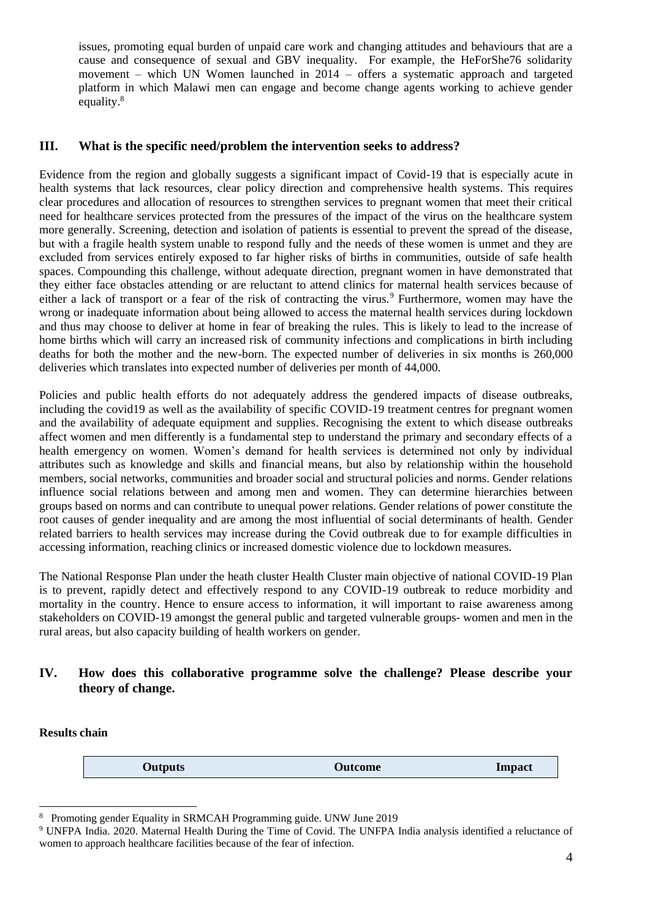issues, promoting equal burden of unpaid care work and changing attitudes and behaviours that are a cause and consequence of sexual and GBV inequality. For example, the HeForShe76 solidarity movement – which UN Women launched in 2014 – offers a systematic approach and targeted platform in which Malawi men can engage and become change agents working to achieve gender equality.<sup>8</sup>

### **III. What is the specific need/problem the intervention seeks to address?**

Evidence from the region and globally suggests a significant impact of Covid-19 that is especially acute in health systems that lack resources, clear policy direction and comprehensive health systems. This requires clear procedures and allocation of resources to strengthen services to pregnant women that meet their critical need for healthcare services protected from the pressures of the impact of the virus on the healthcare system more generally. Screening, detection and isolation of patients is essential to prevent the spread of the disease, but with a fragile health system unable to respond fully and the needs of these women is unmet and they are excluded from services entirely exposed to far higher risks of births in communities, outside of safe health spaces. Compounding this challenge, without adequate direction, pregnant women in have demonstrated that they either face obstacles attending or are reluctant to attend clinics for maternal health services because of either a lack of transport or a fear of the risk of contracting the virus.<sup>9</sup> Furthermore, women may have the wrong or inadequate information about being allowed to access the maternal health services during lockdown and thus may choose to deliver at home in fear of breaking the rules. This is likely to lead to the increase of home births which will carry an increased risk of community infections and complications in birth including deaths for both the mother and the new-born. The expected number of deliveries in six months is 260,000 deliveries which translates into expected number of deliveries per month of 44,000.

Policies and public health efforts do not adequately address the gendered impacts of disease outbreaks, including the covid19 as well as the availability of specific COVID-19 treatment centres for pregnant women and the availability of adequate equipment and supplies. Recognising the extent to which disease outbreaks affect women and men differently is a fundamental step to understand the primary and secondary effects of a health emergency on women. Women's demand for health services is determined not only by individual attributes such as knowledge and skills and financial means, but also by relationship within the household members, social networks, communities and broader social and structural policies and norms. Gender relations influence social relations between and among men and women. They can determine hierarchies between groups based on norms and can contribute to unequal power relations. Gender relations of power constitute the root causes of gender inequality and are among the most influential of social determinants of health. Gender related barriers to health services may increase during the Covid outbreak due to for example difficulties in accessing information, reaching clinics or increased domestic violence due to lockdown measures.

The National Response Plan under the heath cluster Health Cluster main objective of national COVID-19 Plan is to prevent, rapidly detect and effectively respond to any COVID-19 outbreak to reduce morbidity and mortality in the country. Hence to ensure access to information, it will important to raise awareness among stakeholders on COVID-19 amongst the general public and targeted vulnerable groups- women and men in the rural areas, but also capacity building of health workers on gender.

#### **IV. How does this collaborative programme solve the challenge? Please describe your theory of change.**

**Results chain**

**Outputs Outcome Impact**

<sup>8</sup> Promoting gender Equality in SRMCAH Programming guide. UNW June 2019

<sup>9</sup> UNFPA India. 2020. Maternal Health During the Time of Covid. The UNFPA India analysis identified a reluctance of women to approach healthcare facilities because of the fear of infection.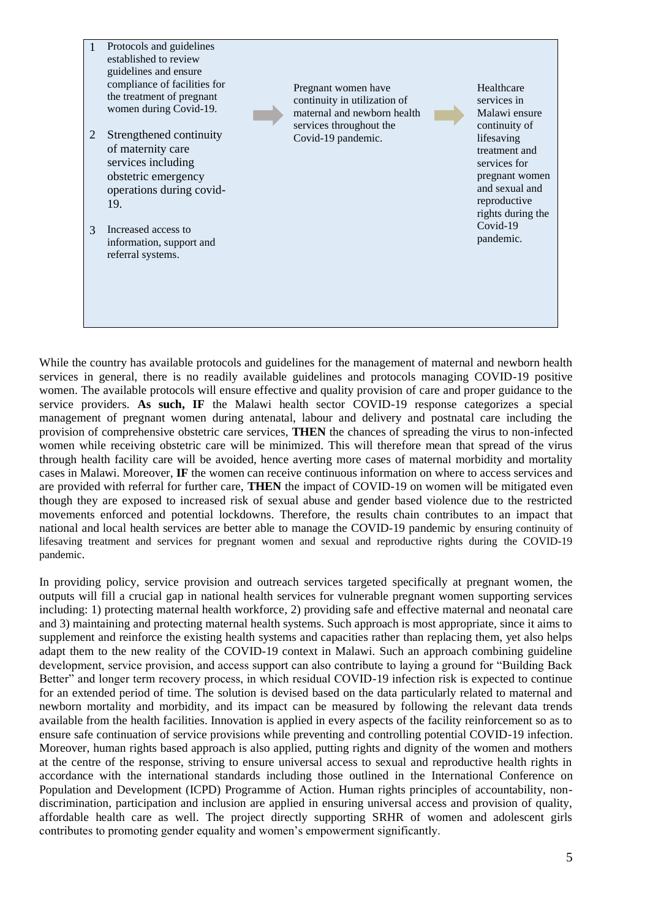

While the country has available protocols and guidelines for the management of maternal and newborn health services in general, there is no readily available guidelines and protocols managing COVID-19 positive women. The available protocols will ensure effective and quality provision of care and proper guidance to the service providers. **As such, IF** the Malawi health sector COVID-19 response categorizes a special management of pregnant women during antenatal, labour and delivery and postnatal care including the provision of comprehensive obstetric care services, **THEN** the chances of spreading the virus to non-infected women while receiving obstetric care will be minimized. This will therefore mean that spread of the virus through health facility care will be avoided, hence averting more cases of maternal morbidity and mortality cases in Malawi. Moreover, **IF** the women can receive continuous information on where to access services and are provided with referral for further care, **THEN** the impact of COVID-19 on women will be mitigated even though they are exposed to increased risk of sexual abuse and gender based violence due to the restricted movements enforced and potential lockdowns. Therefore, the results chain contributes to an impact that national and local health services are better able to manage the COVID-19 pandemic by ensuring continuity of lifesaving treatment and services for pregnant women and sexual and reproductive rights during the COVID-19 pandemic.

In providing policy, service provision and outreach services targeted specifically at pregnant women, the outputs will fill a crucial gap in national health services for vulnerable pregnant women supporting services including: 1) protecting maternal health workforce, 2) providing safe and effective maternal and neonatal care and 3) maintaining and protecting maternal health systems. Such approach is most appropriate, since it aims to supplement and reinforce the existing health systems and capacities rather than replacing them, yet also helps adapt them to the new reality of the COVID-19 context in Malawi. Such an approach combining guideline development, service provision, and access support can also contribute to laying a ground for "Building Back Better" and longer term recovery process, in which residual COVID-19 infection risk is expected to continue for an extended period of time. The solution is devised based on the data particularly related to maternal and newborn mortality and morbidity, and its impact can be measured by following the relevant data trends available from the health facilities. Innovation is applied in every aspects of the facility reinforcement so as to ensure safe continuation of service provisions while preventing and controlling potential COVID-19 infection. Moreover, human rights based approach is also applied, putting rights and dignity of the women and mothers at the centre of the response, striving to ensure universal access to sexual and reproductive health rights in accordance with the international standards including those outlined in the International Conference on Population and Development (ICPD) Programme of Action. Human rights principles of accountability, nondiscrimination, participation and inclusion are applied in ensuring universal access and provision of quality, affordable health care as well. The project directly supporting SRHR of women and adolescent girls contributes to promoting gender equality and women's empowerment significantly.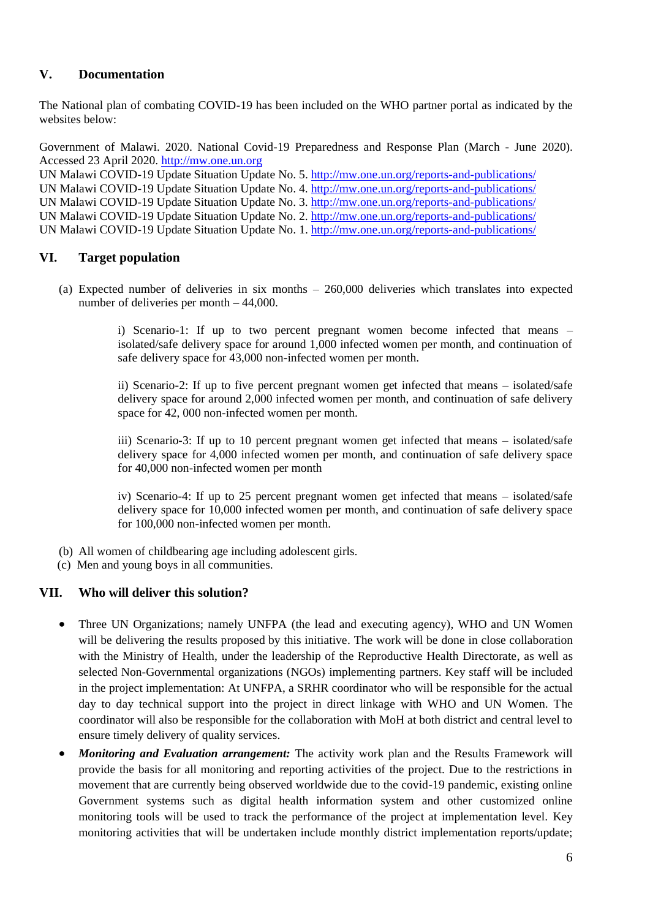### **V. Documentation**

The National plan of combating COVID-19 has been included on the WHO partner portal as indicated by the websites below:

Government of Malawi. 2020. National Covid-19 Preparedness and Response Plan (March - June 2020). Accessed 23 April 2020. [http://mw.one.un.org](http://mw.one.un.org/)

UN Malawi COVID-19 Update Situation Update No. 5[. http://mw.one.un.org/reports-and-publications/](http://mw.one.un.org/reports-and-publications/) UN Malawi COVID-19 Update Situation Update No. 4. <http://mw.one.un.org/reports-and-publications/> UN Malawi COVID-19 Update Situation Update No. 3[. http://mw.one.un.org/reports-and-publications/](http://mw.one.un.org/reports-and-publications/) UN Malawi COVID-19 Update Situation Update No. 2[. http://mw.one.un.org/reports-and-publications/](http://mw.one.un.org/reports-and-publications/) UN Malawi COVID-19 Update Situation Update No. 1[. http://mw.one.un.org/reports-and-publications/](http://mw.one.un.org/reports-and-publications/)

### **VI. Target population**

(a) Expected number of deliveries in six months – 260,000 deliveries which translates into expected number of deliveries per month – 44,000.

> i) Scenario-1: If up to two percent pregnant women become infected that means – isolated/safe delivery space for around 1,000 infected women per month, and continuation of safe delivery space for 43,000 non-infected women per month.

> ii) Scenario-2: If up to five percent pregnant women get infected that means – isolated/safe delivery space for around 2,000 infected women per month, and continuation of safe delivery space for 42, 000 non-infected women per month.

> iii) Scenario-3: If up to 10 percent pregnant women get infected that means – isolated/safe delivery space for 4,000 infected women per month, and continuation of safe delivery space for 40,000 non-infected women per month

> iv) Scenario-4: If up to 25 percent pregnant women get infected that means – isolated/safe delivery space for 10,000 infected women per month, and continuation of safe delivery space for 100,000 non-infected women per month.

- (b) All women of childbearing age including adolescent girls.
- (c) Men and young boys in all communities.

#### **VII. Who will deliver this solution?**

- Three UN Organizations; namely UNFPA (the lead and executing agency), WHO and UN Women will be delivering the results proposed by this initiative. The work will be done in close collaboration with the Ministry of Health, under the leadership of the Reproductive Health Directorate, as well as selected Non-Governmental organizations (NGOs) implementing partners. Key staff will be included in the project implementation: At UNFPA, a SRHR coordinator who will be responsible for the actual day to day technical support into the project in direct linkage with WHO and UN Women. The coordinator will also be responsible for the collaboration with MoH at both district and central level to ensure timely delivery of quality services.
- *Monitoring and Evaluation arrangement:* The activity work plan and the Results Framework will provide the basis for all monitoring and reporting activities of the project. Due to the restrictions in movement that are currently being observed worldwide due to the covid-19 pandemic, existing online Government systems such as digital health information system and other customized online monitoring tools will be used to track the performance of the project at implementation level. Key monitoring activities that will be undertaken include monthly district implementation reports/update;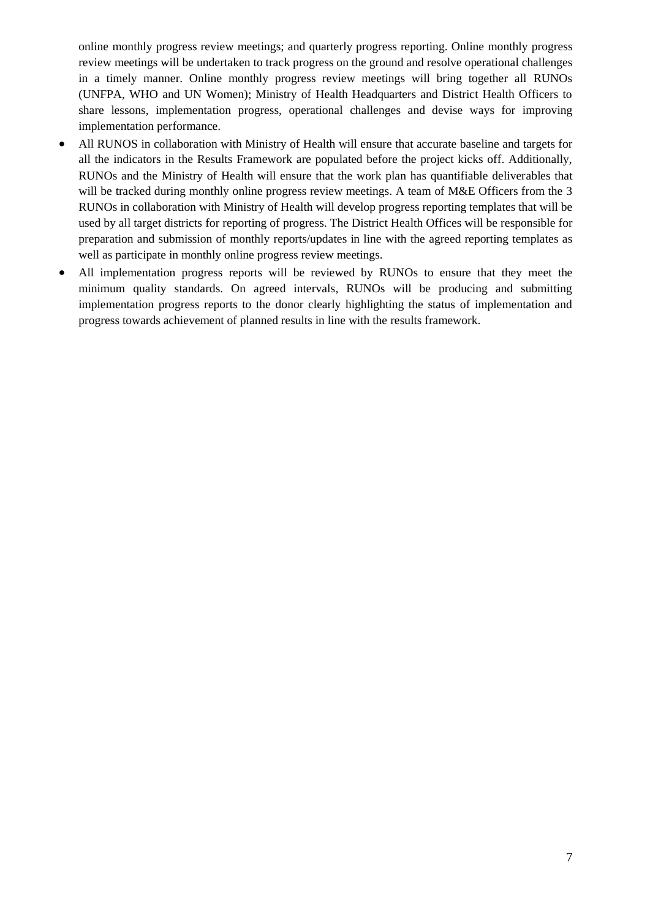online monthly progress review meetings; and quarterly progress reporting. Online monthly progress review meetings will be undertaken to track progress on the ground and resolve operational challenges in a timely manner. Online monthly progress review meetings will bring together all RUNOs (UNFPA, WHO and UN Women); Ministry of Health Headquarters and District Health Officers to share lessons, implementation progress, operational challenges and devise ways for improving implementation performance.

- All RUNOS in collaboration with Ministry of Health will ensure that accurate baseline and targets for all the indicators in the Results Framework are populated before the project kicks off. Additionally, RUNOs and the Ministry of Health will ensure that the work plan has quantifiable deliverables that will be tracked during monthly online progress review meetings. A team of M&E Officers from the 3 RUNOs in collaboration with Ministry of Health will develop progress reporting templates that will be used by all target districts for reporting of progress. The District Health Offices will be responsible for preparation and submission of monthly reports/updates in line with the agreed reporting templates as well as participate in monthly online progress review meetings.
- All implementation progress reports will be reviewed by RUNOs to ensure that they meet the minimum quality standards. On agreed intervals, RUNOs will be producing and submitting implementation progress reports to the donor clearly highlighting the status of implementation and progress towards achievement of planned results in line with the results framework.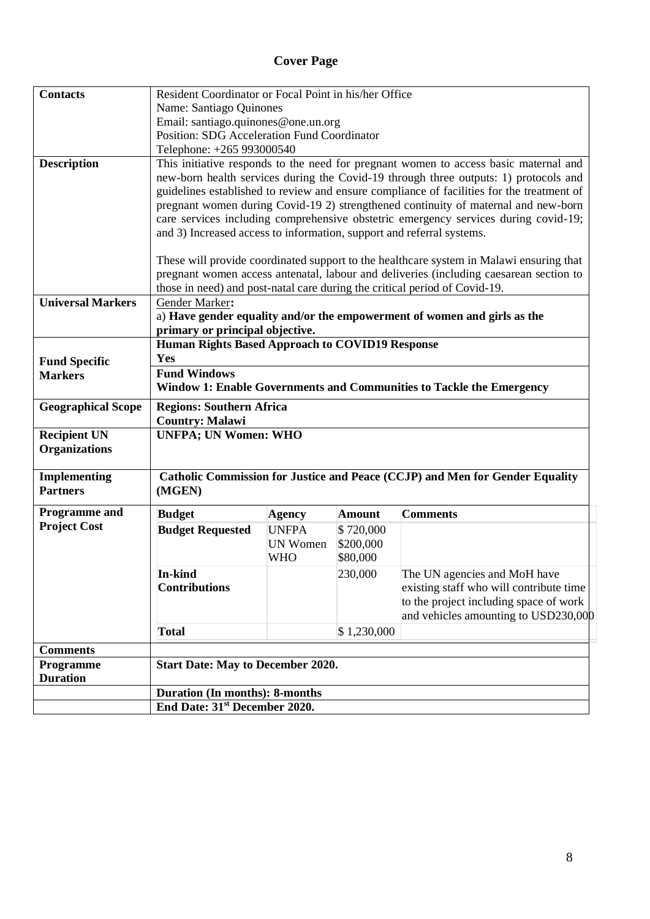## **Cover Page**

| <b>Contacts</b>                        | Resident Coordinator or Focal Point in his/her Office                                     |                 |               |                                                                                        |  |  |  |  |  |  |
|----------------------------------------|-------------------------------------------------------------------------------------------|-----------------|---------------|----------------------------------------------------------------------------------------|--|--|--|--|--|--|
|                                        | Name: Santiago Quinones                                                                   |                 |               |                                                                                        |  |  |  |  |  |  |
|                                        | Email: santiago.quinones@one.un.org                                                       |                 |               |                                                                                        |  |  |  |  |  |  |
|                                        | Position: SDG Acceleration Fund Coordinator                                               |                 |               |                                                                                        |  |  |  |  |  |  |
|                                        | Telephone: +265 993000540                                                                 |                 |               |                                                                                        |  |  |  |  |  |  |
| <b>Description</b>                     |                                                                                           |                 |               | This initiative responds to the need for pregnant women to access basic maternal and   |  |  |  |  |  |  |
|                                        |                                                                                           |                 |               | new-born health services during the Covid-19 through three outputs: 1) protocols and   |  |  |  |  |  |  |
|                                        | guidelines established to review and ensure compliance of facilities for the treatment of |                 |               |                                                                                        |  |  |  |  |  |  |
|                                        | pregnant women during Covid-19 2) strengthened continuity of maternal and new-born        |                 |               |                                                                                        |  |  |  |  |  |  |
|                                        | care services including comprehensive obstetric emergency services during covid-19;       |                 |               |                                                                                        |  |  |  |  |  |  |
|                                        | and 3) Increased access to information, support and referral systems.                     |                 |               |                                                                                        |  |  |  |  |  |  |
|                                        | These will provide coordinated support to the healthcare system in Malawi ensuring that   |                 |               |                                                                                        |  |  |  |  |  |  |
|                                        |                                                                                           |                 |               | pregnant women access antenatal, labour and deliveries (including caesarean section to |  |  |  |  |  |  |
|                                        |                                                                                           |                 |               | those in need) and post-natal care during the critical period of Covid-19.             |  |  |  |  |  |  |
| <b>Universal Markers</b>               | Gender Marker:                                                                            |                 |               |                                                                                        |  |  |  |  |  |  |
|                                        |                                                                                           |                 |               | a) Have gender equality and/or the empowerment of women and girls as the               |  |  |  |  |  |  |
|                                        | primary or principal objective.                                                           |                 |               |                                                                                        |  |  |  |  |  |  |
|                                        | Human Rights Based Approach to COVID19 Response                                           |                 |               |                                                                                        |  |  |  |  |  |  |
| <b>Fund Specific</b>                   | Yes                                                                                       |                 |               |                                                                                        |  |  |  |  |  |  |
| <b>Markers</b>                         | <b>Fund Windows</b>                                                                       |                 |               |                                                                                        |  |  |  |  |  |  |
|                                        |                                                                                           |                 |               | Window 1: Enable Governments and Communities to Tackle the Emergency                   |  |  |  |  |  |  |
| <b>Geographical Scope</b>              | <b>Regions: Southern Africa</b>                                                           |                 |               |                                                                                        |  |  |  |  |  |  |
|                                        | <b>Country: Malawi</b>                                                                    |                 |               |                                                                                        |  |  |  |  |  |  |
| <b>Recipient UN</b>                    | <b>UNFPA; UN Women: WHO</b>                                                               |                 |               |                                                                                        |  |  |  |  |  |  |
| <b>Organizations</b>                   |                                                                                           |                 |               |                                                                                        |  |  |  |  |  |  |
|                                        |                                                                                           |                 |               |                                                                                        |  |  |  |  |  |  |
| <b>Implementing</b><br><b>Partners</b> | (MGEN)                                                                                    |                 |               | Catholic Commission for Justice and Peace (CCJP) and Men for Gender Equality           |  |  |  |  |  |  |
|                                        |                                                                                           |                 |               |                                                                                        |  |  |  |  |  |  |
| Programme and                          | <b>Budget</b>                                                                             | <b>Agency</b>   | <b>Amount</b> | <b>Comments</b>                                                                        |  |  |  |  |  |  |
| <b>Project Cost</b>                    | <b>Budget Requested</b>                                                                   | <b>UNFPA</b>    | \$720,000     |                                                                                        |  |  |  |  |  |  |
|                                        |                                                                                           | <b>UN Women</b> | \$200,000     |                                                                                        |  |  |  |  |  |  |
|                                        |                                                                                           | <b>WHO</b>      | \$80,000      |                                                                                        |  |  |  |  |  |  |
|                                        | In-kind                                                                                   |                 | 230,000       | The UN agencies and MoH have                                                           |  |  |  |  |  |  |
|                                        | <b>Contributions</b>                                                                      |                 |               | existing staff who will contribute time                                                |  |  |  |  |  |  |
|                                        |                                                                                           |                 |               | to the project including space of work                                                 |  |  |  |  |  |  |
|                                        | and vehicles amounting to USD230,000                                                      |                 |               |                                                                                        |  |  |  |  |  |  |
|                                        | <b>Total</b>                                                                              |                 | \$1,230,000   |                                                                                        |  |  |  |  |  |  |
| <b>Comments</b>                        |                                                                                           |                 |               |                                                                                        |  |  |  |  |  |  |
| Programme                              | <b>Start Date: May to December 2020.</b>                                                  |                 |               |                                                                                        |  |  |  |  |  |  |
| <b>Duration</b>                        |                                                                                           |                 |               |                                                                                        |  |  |  |  |  |  |
|                                        | <b>Duration (In months): 8-months</b>                                                     |                 |               |                                                                                        |  |  |  |  |  |  |
|                                        | End Date: 31 <sup>st</sup> December 2020.                                                 |                 |               |                                                                                        |  |  |  |  |  |  |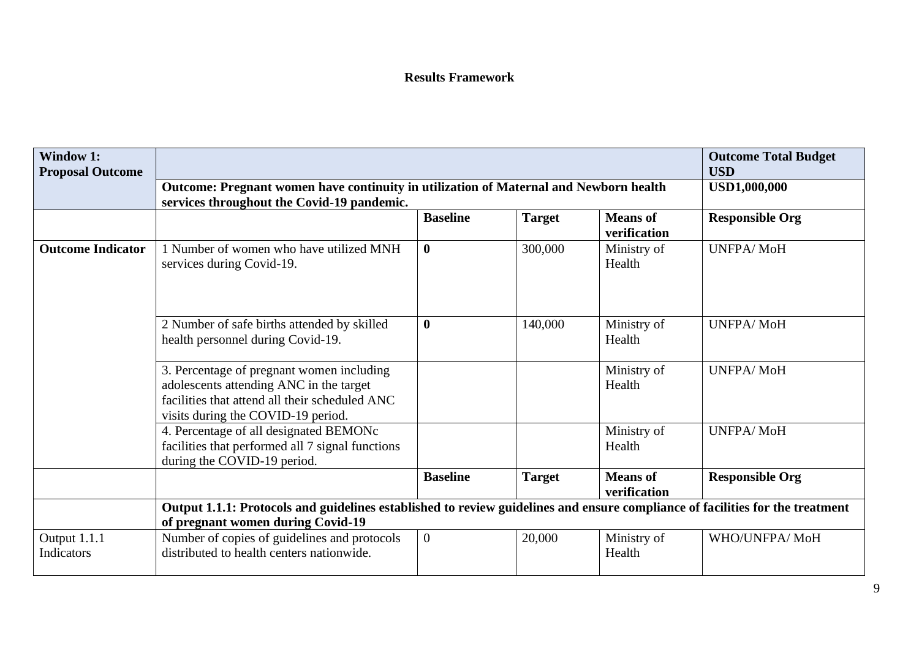### **Results Framework**

| <b>Window 1:</b><br><b>Proposal Outcome</b> |                                                                                                                                                                              | <b>Outcome Total Budget</b><br><b>USD</b>                                                                                   |               |                                 |                        |  |  |  |  |  |
|---------------------------------------------|------------------------------------------------------------------------------------------------------------------------------------------------------------------------------|-----------------------------------------------------------------------------------------------------------------------------|---------------|---------------------------------|------------------------|--|--|--|--|--|
|                                             | services throughout the Covid-19 pandemic.                                                                                                                                   | Outcome: Pregnant women have continuity in utilization of Maternal and Newborn health<br><b>Baseline</b><br><b>Means</b> of |               |                                 |                        |  |  |  |  |  |
|                                             |                                                                                                                                                                              |                                                                                                                             | <b>Target</b> | verification                    | <b>Responsible Org</b> |  |  |  |  |  |
| <b>Outcome Indicator</b>                    | 1 Number of women who have utilized MNH<br>services during Covid-19.                                                                                                         | $\boldsymbol{0}$                                                                                                            | 300,000       | Ministry of<br>Health           | <b>UNFPA/MoH</b>       |  |  |  |  |  |
|                                             | 2 Number of safe births attended by skilled<br>health personnel during Covid-19.                                                                                             | $\boldsymbol{0}$                                                                                                            | 140,000       | Ministry of<br>Health           | <b>UNFPA/MoH</b>       |  |  |  |  |  |
|                                             | 3. Percentage of pregnant women including<br>adolescents attending ANC in the target<br>facilities that attend all their scheduled ANC<br>visits during the COVID-19 period. |                                                                                                                             |               | Ministry of<br>Health           | <b>UNFPA/MoH</b>       |  |  |  |  |  |
|                                             | 4. Percentage of all designated BEMONc<br>facilities that performed all 7 signal functions<br>during the COVID-19 period.                                                    |                                                                                                                             |               | Ministry of<br>Health           | <b>UNFPA/MoH</b>       |  |  |  |  |  |
|                                             |                                                                                                                                                                              | <b>Baseline</b>                                                                                                             | <b>Target</b> | <b>Means</b> of<br>verification | <b>Responsible Org</b> |  |  |  |  |  |
|                                             | Output 1.1.1: Protocols and guidelines established to review guidelines and ensure compliance of facilities for the treatment<br>of pregnant women during Covid-19           |                                                                                                                             |               |                                 |                        |  |  |  |  |  |
| Output 1.1.1<br>Indicators                  | Number of copies of guidelines and protocols<br>distributed to health centers nationwide.                                                                                    | $\overline{0}$                                                                                                              | 20,000        | Ministry of<br>Health           | WHO/UNFPA/MoH          |  |  |  |  |  |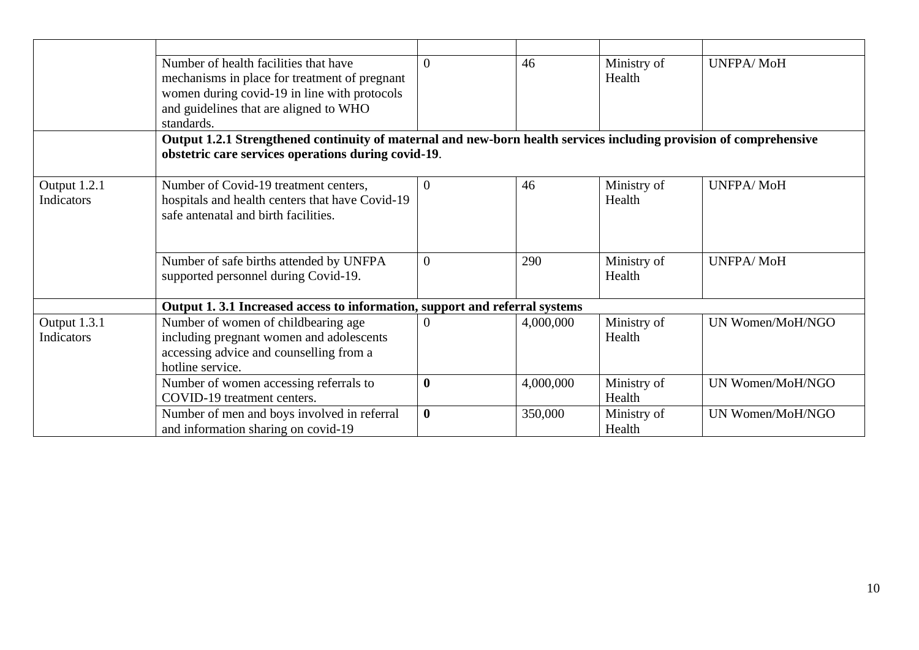|                                   | Number of health facilities that have<br>mechanisms in place for treatment of pregnant<br>women during covid-19 in line with protocols         | $\Omega$         | 46        | Ministry of<br>Health | <b>UNFPA/MoH</b> |
|-----------------------------------|------------------------------------------------------------------------------------------------------------------------------------------------|------------------|-----------|-----------------------|------------------|
|                                   | and guidelines that are aligned to WHO<br>standards.                                                                                           |                  |           |                       |                  |
|                                   | Output 1.2.1 Strengthened continuity of maternal and new-born health services including provision of comprehensive                             |                  |           |                       |                  |
|                                   | obstetric care services operations during covid-19.                                                                                            |                  |           |                       |                  |
|                                   |                                                                                                                                                |                  |           |                       |                  |
| Output 1.2.1<br>Indicators        | Number of Covid-19 treatment centers,<br>hospitals and health centers that have Covid-19<br>safe antenatal and birth facilities.               | $\theta$         | 46        | Ministry of<br>Health | <b>UNFPA/MoH</b> |
|                                   |                                                                                                                                                |                  |           |                       |                  |
|                                   | Number of safe births attended by UNFPA<br>supported personnel during Covid-19.                                                                | $\Omega$         | 290       | Ministry of<br>Health | <b>UNFPA/MoH</b> |
|                                   | Output 1.3.1 Increased access to information, support and referral systems                                                                     |                  |           |                       |                  |
| Output 1.3.1<br><b>Indicators</b> | Number of women of childbearing age<br>including pregnant women and adolescents<br>accessing advice and counselling from a<br>hotline service. | $\overline{0}$   | 4,000,000 | Ministry of<br>Health | UN Women/MoH/NGO |
|                                   | Number of women accessing referrals to<br>COVID-19 treatment centers.                                                                          | $\boldsymbol{0}$ | 4,000,000 | Ministry of<br>Health | UN Women/MoH/NGO |
|                                   | Number of men and boys involved in referral<br>and information sharing on covid-19                                                             | $\bf{0}$         | 350,000   | Ministry of<br>Health | UN Women/MoH/NGO |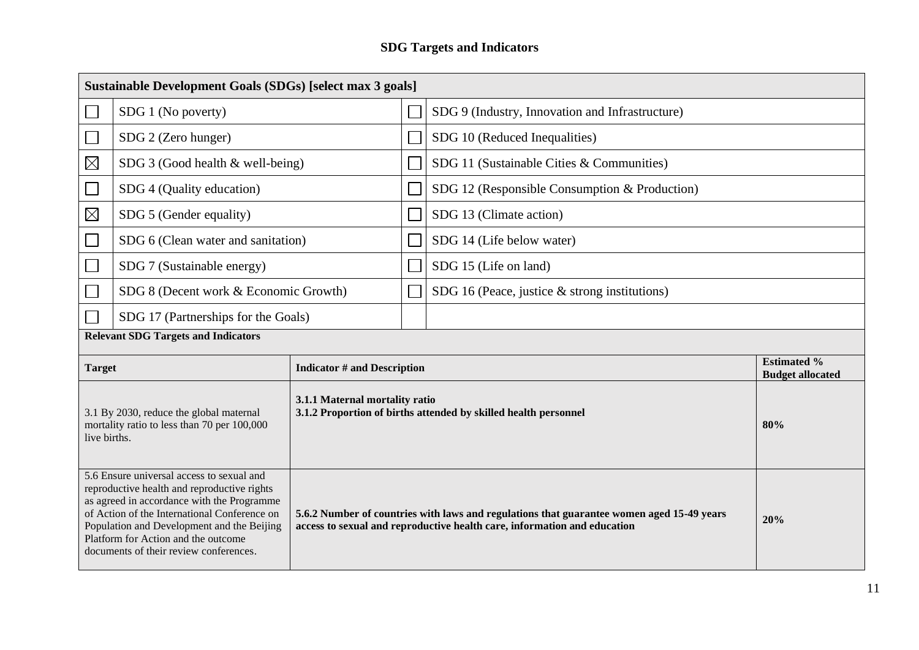## **SDG Targets and Indicators**

| Sustainable Development Goals (SDGs) [select max 3 goals]                                                                                                                                                                                                                                                             |                                            |  |  |                                                                                                                                                                       |                                               |  |  |  |
|-----------------------------------------------------------------------------------------------------------------------------------------------------------------------------------------------------------------------------------------------------------------------------------------------------------------------|--------------------------------------------|--|--|-----------------------------------------------------------------------------------------------------------------------------------------------------------------------|-----------------------------------------------|--|--|--|
|                                                                                                                                                                                                                                                                                                                       | SDG 1 (No poverty)                         |  |  | SDG 9 (Industry, Innovation and Infrastructure)                                                                                                                       |                                               |  |  |  |
|                                                                                                                                                                                                                                                                                                                       | SDG 2 (Zero hunger)                        |  |  | SDG 10 (Reduced Inequalities)                                                                                                                                         |                                               |  |  |  |
| $\boxtimes$                                                                                                                                                                                                                                                                                                           | SDG 3 (Good health & well-being)           |  |  | SDG 11 (Sustainable Cities & Communities)                                                                                                                             |                                               |  |  |  |
|                                                                                                                                                                                                                                                                                                                       | SDG 4 (Quality education)                  |  |  | SDG 12 (Responsible Consumption & Production)                                                                                                                         |                                               |  |  |  |
| $\boxtimes$                                                                                                                                                                                                                                                                                                           | SDG 5 (Gender equality)                    |  |  | SDG 13 (Climate action)                                                                                                                                               |                                               |  |  |  |
|                                                                                                                                                                                                                                                                                                                       | SDG 6 (Clean water and sanitation)         |  |  | SDG 14 (Life below water)                                                                                                                                             |                                               |  |  |  |
|                                                                                                                                                                                                                                                                                                                       | SDG 7 (Sustainable energy)                 |  |  | SDG 15 (Life on land)                                                                                                                                                 |                                               |  |  |  |
|                                                                                                                                                                                                                                                                                                                       | SDG 8 (Decent work & Economic Growth)      |  |  | SDG 16 (Peace, justice $\&$ strong institutions)                                                                                                                      |                                               |  |  |  |
| SDG 17 (Partnerships for the Goals)                                                                                                                                                                                                                                                                                   |                                            |  |  |                                                                                                                                                                       |                                               |  |  |  |
|                                                                                                                                                                                                                                                                                                                       | <b>Relevant SDG Targets and Indicators</b> |  |  |                                                                                                                                                                       |                                               |  |  |  |
| <b>Indicator # and Description</b><br><b>Target</b>                                                                                                                                                                                                                                                                   |                                            |  |  |                                                                                                                                                                       | <b>Estimated %</b><br><b>Budget allocated</b> |  |  |  |
| 3.1.1 Maternal mortality ratio<br>3.1 By 2030, reduce the global maternal<br>mortality ratio to less than 70 per 100,000<br>live births.                                                                                                                                                                              |                                            |  |  | 3.1.2 Proportion of births attended by skilled health personnel                                                                                                       | 80%                                           |  |  |  |
| 5.6 Ensure universal access to sexual and<br>reproductive health and reproductive rights<br>as agreed in accordance with the Programme<br>of Action of the International Conference on<br>Population and Development and the Beijing<br>Platform for Action and the outcome<br>documents of their review conferences. |                                            |  |  | 5.6.2 Number of countries with laws and regulations that guarantee women aged 15-49 years<br>access to sexual and reproductive health care, information and education | 20%                                           |  |  |  |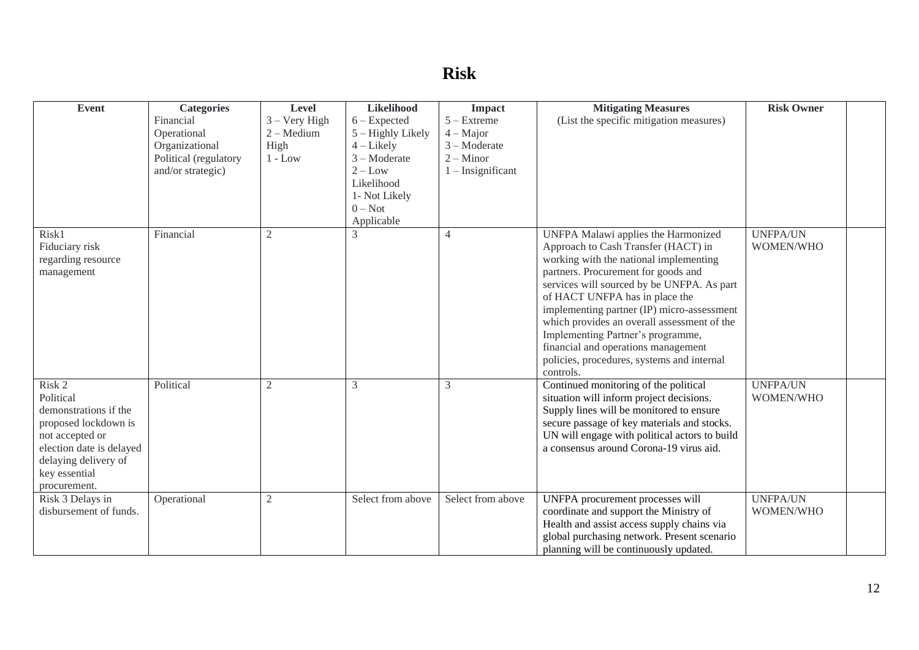# **Risk**

| <b>Event</b>                                  | <b>Categories</b>     | Level           | Likelihood        | Impact              | <b>Mitigating Measures</b>                                                                                           | <b>Risk Owner</b>            |  |
|-----------------------------------------------|-----------------------|-----------------|-------------------|---------------------|----------------------------------------------------------------------------------------------------------------------|------------------------------|--|
|                                               | Financial             | $3 - Very High$ | $6 - Expected$    | $5 -$ Extreme       | (List the specific mitigation measures)                                                                              |                              |  |
|                                               | Operational           | $2 - Medium$    | 5 – Highly Likely | $4 - Major$         |                                                                                                                      |                              |  |
|                                               | Organizational        | High            | $4$ – Likely      | $3 - Moderate$      |                                                                                                                      |                              |  |
|                                               | Political (regulatory | $1 - Low$       | $3 - Moderate$    | $2 -$ Minor         |                                                                                                                      |                              |  |
|                                               | and/or strategic)     |                 | $2 - Low$         | $1$ – Insignificant |                                                                                                                      |                              |  |
|                                               |                       |                 | Likelihood        |                     |                                                                                                                      |                              |  |
|                                               |                       |                 | 1- Not Likely     |                     |                                                                                                                      |                              |  |
|                                               |                       |                 | $0 - Not$         |                     |                                                                                                                      |                              |  |
|                                               |                       |                 | Applicable        |                     |                                                                                                                      |                              |  |
| Risk1<br>Fiduciary risk<br>regarding resource | Financial             | 2               | 3                 | $\overline{4}$      | UNFPA Malawi applies the Harmonized<br>Approach to Cash Transfer (HACT) in<br>working with the national implementing | <b>UNFPA/UN</b><br>WOMEN/WHO |  |
| management                                    |                       |                 |                   |                     | partners. Procurement for goods and<br>services will sourced by be UNFPA. As part                                    |                              |  |
|                                               |                       |                 |                   |                     | of HACT UNFPA has in place the                                                                                       |                              |  |
|                                               |                       |                 |                   |                     | implementing partner (IP) micro-assessment                                                                           |                              |  |
|                                               |                       |                 |                   |                     | which provides an overall assessment of the                                                                          |                              |  |
|                                               |                       |                 |                   |                     | Implementing Partner's programme,                                                                                    |                              |  |
|                                               |                       |                 |                   |                     | financial and operations management                                                                                  |                              |  |
|                                               |                       |                 |                   |                     | policies, procedures, systems and internal                                                                           |                              |  |
|                                               |                       |                 |                   |                     | controls.                                                                                                            |                              |  |
| Risk 2                                        | Political             | $\overline{c}$  | 3                 | 3                   | Continued monitoring of the political                                                                                | <b>UNFPA/UN</b>              |  |
| Political                                     |                       |                 |                   |                     | situation will inform project decisions.                                                                             | WOMEN/WHO                    |  |
| demonstrations if the                         |                       |                 |                   |                     | Supply lines will be monitored to ensure                                                                             |                              |  |
| proposed lockdown is                          |                       |                 |                   |                     | secure passage of key materials and stocks.                                                                          |                              |  |
| not accepted or<br>election date is delayed   |                       |                 |                   |                     | UN will engage with political actors to build<br>a consensus around Corona-19 virus aid.                             |                              |  |
| delaying delivery of                          |                       |                 |                   |                     |                                                                                                                      |                              |  |
| key essential                                 |                       |                 |                   |                     |                                                                                                                      |                              |  |
| procurement.                                  |                       |                 |                   |                     |                                                                                                                      |                              |  |
| Risk 3 Delays in                              | Operational           | $\overline{2}$  | Select from above | Select from above   | UNFPA procurement processes will                                                                                     | <b>UNFPA/UN</b>              |  |
| disbursement of funds.                        |                       |                 |                   |                     | coordinate and support the Ministry of                                                                               | WOMEN/WHO                    |  |
|                                               |                       |                 |                   |                     | Health and assist access supply chains via                                                                           |                              |  |
|                                               |                       |                 |                   |                     | global purchasing network. Present scenario                                                                          |                              |  |
|                                               |                       |                 |                   |                     | planning will be continuously updated.                                                                               |                              |  |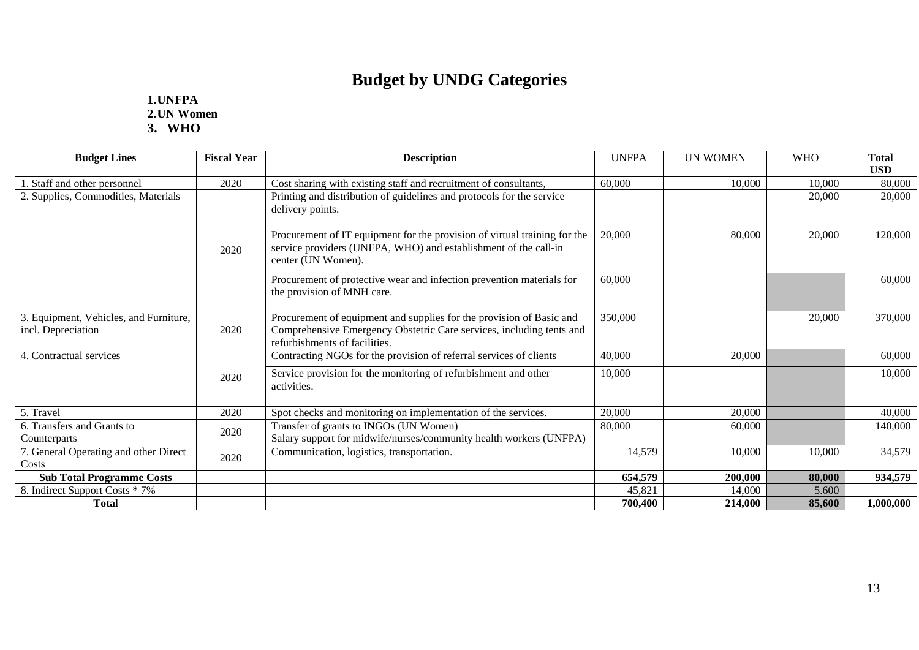# **Budget by UNDG Categories**

### **1.UNFPA 2.UN Women 3. WHO**

| <b>Budget Lines</b>                                          | <b>Fiscal Year</b> | <b>Description</b>                                                                                                                                                            | <b>UNFPA</b> | <b>UN WOMEN</b> | <b>WHO</b> | <b>Total</b><br><b>USD</b> |
|--------------------------------------------------------------|--------------------|-------------------------------------------------------------------------------------------------------------------------------------------------------------------------------|--------------|-----------------|------------|----------------------------|
| . Staff and other personnel                                  | 2020               | Cost sharing with existing staff and recruitment of consultants,                                                                                                              | 60,000       | 10,000          | 10,000     | 80,000                     |
| 2. Supplies, Commodities, Materials                          |                    | Printing and distribution of guidelines and protocols for the service<br>delivery points.                                                                                     |              |                 | 20,000     | 20,000                     |
|                                                              | 2020               | Procurement of IT equipment for the provision of virtual training for the<br>service providers (UNFPA, WHO) and establishment of the call-in<br>center (UN Women).            | 20,000       | 80,000          | 20,000     | 120,000                    |
|                                                              |                    | Procurement of protective wear and infection prevention materials for<br>the provision of MNH care.                                                                           | 60,000       |                 |            | 60,000                     |
| 3. Equipment, Vehicles, and Furniture,<br>incl. Depreciation | 2020               | Procurement of equipment and supplies for the provision of Basic and<br>Comprehensive Emergency Obstetric Care services, including tents and<br>refurbishments of facilities. | 350,000      |                 | 20,000     | 370,000                    |
| 4. Contractual services                                      |                    | Contracting NGOs for the provision of referral services of clients                                                                                                            | 40,000       | 20,000          |            | 60,000                     |
|                                                              | 2020               | Service provision for the monitoring of refurbishment and other<br>activities.                                                                                                | 10,000       |                 |            | 10,000                     |
| 5. Travel                                                    | 2020               | Spot checks and monitoring on implementation of the services.                                                                                                                 | 20,000       | 20,000          |            | 40,000                     |
| 6. Transfers and Grants to<br>Counterparts                   | 2020               | Transfer of grants to INGOs (UN Women)<br>Salary support for midwife/nurses/community health workers (UNFPA)                                                                  | 80,000       | 60,000          |            | 140,000                    |
| 7. General Operating and other Direct<br>Costs               | 2020               | Communication, logistics, transportation.                                                                                                                                     | 14,579       | 10,000          | 10,000     | 34,579                     |
| <b>Sub Total Programme Costs</b>                             |                    |                                                                                                                                                                               | 654,579      | 200,000         | 80,000     | 934,579                    |
| 8. Indirect Support Costs * 7%                               |                    |                                                                                                                                                                               | 45,821       | 14,000          | 5.600      |                            |
| <b>Total</b>                                                 |                    |                                                                                                                                                                               | 700,400      | 214,000         | 85,600     | 1,000,000                  |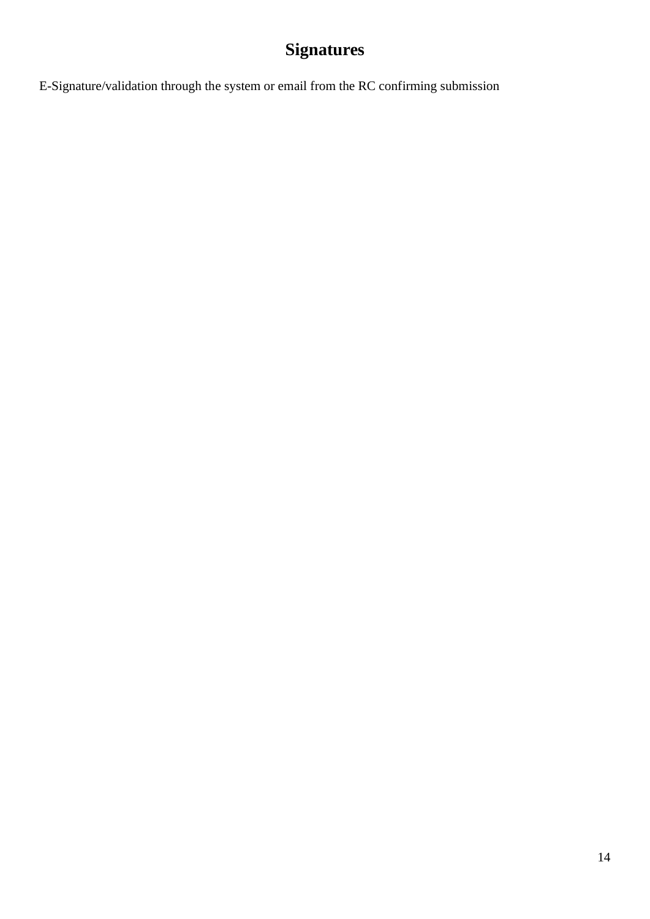# **Signatures**

E-Signature/validation through the system or email from the RC confirming submission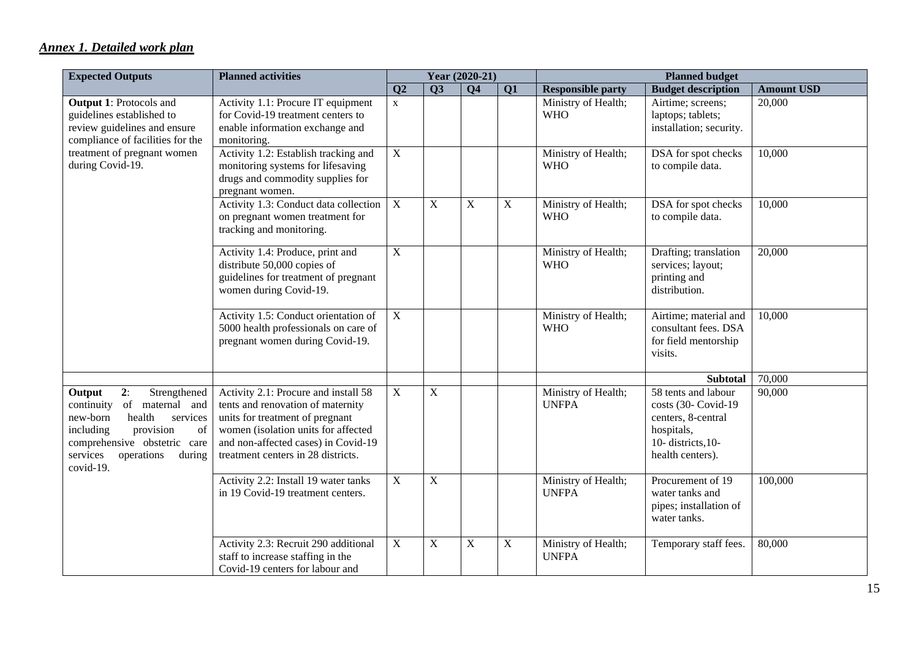### *Annex 1. Detailed work plan*

| <b>Expected Outputs</b>                                                                                                                                                                                          | <b>Planned activities</b>                                                                                                                                                                                                        |                |                | Year (2020-21) |             |                                     | <b>Planned budget</b>                                                                                                   |                   |
|------------------------------------------------------------------------------------------------------------------------------------------------------------------------------------------------------------------|----------------------------------------------------------------------------------------------------------------------------------------------------------------------------------------------------------------------------------|----------------|----------------|----------------|-------------|-------------------------------------|-------------------------------------------------------------------------------------------------------------------------|-------------------|
|                                                                                                                                                                                                                  |                                                                                                                                                                                                                                  | Q2             | Q3             | <b>Q4</b>      | Q1          | <b>Responsible party</b>            | <b>Budget description</b>                                                                                               | <b>Amount USD</b> |
| <b>Output 1: Protocols and</b><br>guidelines established to<br>review guidelines and ensure<br>compliance of facilities for the                                                                                  | Activity 1.1: Procure IT equipment<br>for Covid-19 treatment centers to<br>enable information exchange and<br>monitoring.                                                                                                        | $\mathbf X$    |                |                |             | Ministry of Health;<br><b>WHO</b>   | Airtime; screens;<br>laptops; tablets;<br>installation; security.                                                       | 20,000            |
| treatment of pregnant women<br>during Covid-19.                                                                                                                                                                  | Activity 1.2: Establish tracking and<br>monitoring systems for lifesaving<br>drugs and commodity supplies for<br>pregnant women.                                                                                                 | $\mathbf X$    |                |                |             | Ministry of Health;<br><b>WHO</b>   | DSA for spot checks<br>to compile data.                                                                                 | 10,000            |
|                                                                                                                                                                                                                  | Activity 1.3: Conduct data collection<br>on pregnant women treatment for<br>tracking and monitoring.                                                                                                                             | $\mathbf X$    | $\mathbf X$    | $\mathbf X$    | $\mathbf X$ | Ministry of Health;<br><b>WHO</b>   | DSA for spot checks<br>to compile data.                                                                                 | 10,000            |
|                                                                                                                                                                                                                  | Activity 1.4: Produce, print and<br>distribute 50,000 copies of<br>guidelines for treatment of pregnant<br>women during Covid-19.                                                                                                | $\overline{X}$ |                |                |             | Ministry of Health;<br><b>WHO</b>   | Drafting; translation<br>services; layout;<br>printing and<br>distribution.                                             | 20,000            |
|                                                                                                                                                                                                                  | Activity 1.5: Conduct orientation of<br>5000 health professionals on care of<br>pregnant women during Covid-19.                                                                                                                  | $\mathbf X$    |                |                |             | Ministry of Health;<br><b>WHO</b>   | Airtime; material and<br>consultant fees. DSA<br>for field mentorship<br>visits.                                        | 10,000            |
|                                                                                                                                                                                                                  |                                                                                                                                                                                                                                  |                |                |                |             |                                     | <b>Subtotal</b>                                                                                                         | 70,000            |
| 2:<br>Output<br>Strengthened<br>of maternal and<br>continuity<br>health<br>services<br>new-born<br>provision<br>of<br>including<br>comprehensive obstetric care<br>services<br>operations<br>during<br>covid-19. | Activity 2.1: Procure and install 58<br>tents and renovation of maternity<br>units for treatment of pregnant<br>women (isolation units for affected<br>and non-affected cases) in Covid-19<br>treatment centers in 28 districts. | $\mathbf X$    | $\mathbf X$    |                |             | Ministry of Health;<br><b>UNFPA</b> | 58 tents and labour<br>costs (30- Covid-19<br>centers, 8-central<br>hospitals,<br>10-districts, 10-<br>health centers). | 90,000            |
|                                                                                                                                                                                                                  | Activity 2.2: Install 19 water tanks<br>in 19 Covid-19 treatment centers.                                                                                                                                                        | $\mathbf X$    | $\overline{X}$ |                |             | Ministry of Health;<br><b>UNFPA</b> | Procurement of 19<br>water tanks and<br>pipes; installation of<br>water tanks.                                          | 100,000           |
|                                                                                                                                                                                                                  | Activity 2.3: Recruit 290 additional<br>staff to increase staffing in the<br>Covid-19 centers for labour and                                                                                                                     | $\mathbf X$    | X              | $\mathbf X$    | $\mathbf X$ | Ministry of Health;<br><b>UNFPA</b> | Temporary staff fees.                                                                                                   | 80,000            |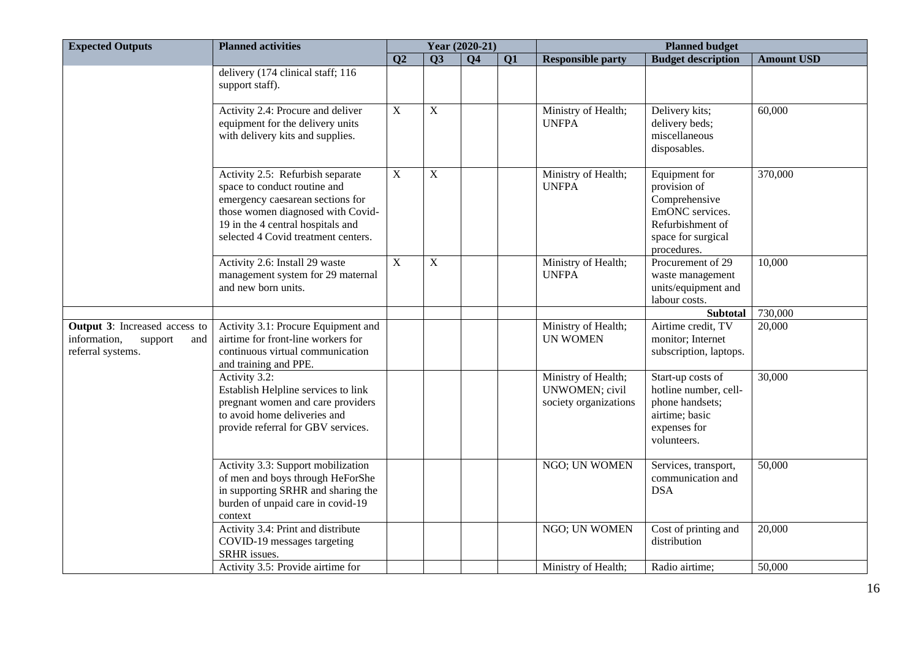| <b>Expected Outputs</b>                                                                     | <b>Planned activities</b>                                                                                                                                                                                             |                |             | Year (2020-21) |           |                                                                |                                                                                                                            |                   |
|---------------------------------------------------------------------------------------------|-----------------------------------------------------------------------------------------------------------------------------------------------------------------------------------------------------------------------|----------------|-------------|----------------|-----------|----------------------------------------------------------------|----------------------------------------------------------------------------------------------------------------------------|-------------------|
|                                                                                             |                                                                                                                                                                                                                       | Q <sub>2</sub> | <b>O3</b>   | <b>O4</b>      | <b>Q1</b> | <b>Responsible party</b>                                       | <b>Budget description</b>                                                                                                  | <b>Amount USD</b> |
|                                                                                             | delivery (174 clinical staff; 116<br>support staff).                                                                                                                                                                  |                |             |                |           |                                                                |                                                                                                                            |                   |
|                                                                                             | Activity 2.4: Procure and deliver<br>equipment for the delivery units<br>with delivery kits and supplies.                                                                                                             | $\mathbf X$    | $\mathbf X$ |                |           | Ministry of Health;<br><b>UNFPA</b>                            | Delivery kits;<br>delivery beds;<br>miscellaneous<br>disposables.                                                          | 60,000            |
|                                                                                             | Activity 2.5: Refurbish separate<br>space to conduct routine and<br>emergency caesarean sections for<br>those women diagnosed with Covid-<br>19 in the 4 central hospitals and<br>selected 4 Covid treatment centers. | $\mathbf X$    | $\mathbf X$ |                |           | Ministry of Health;<br><b>UNFPA</b>                            | Equipment for<br>provision of<br>Comprehensive<br>EmONC services.<br>Refurbishment of<br>space for surgical<br>procedures. | 370,000           |
|                                                                                             | Activity 2.6: Install 29 waste<br>management system for 29 maternal<br>and new born units.                                                                                                                            | $\mathbf X$    | $\mathbf X$ |                |           | Ministry of Health;<br><b>UNFPA</b>                            | Procurement of 29<br>waste management<br>units/equipment and<br>labour costs.                                              | 10,000            |
|                                                                                             |                                                                                                                                                                                                                       |                |             |                |           |                                                                | <b>Subtotal</b>                                                                                                            | 730,000           |
| <b>Output 3:</b> Increased access to<br>information,<br>support<br>and<br>referral systems. | Activity 3.1: Procure Equipment and<br>airtime for front-line workers for<br>continuous virtual communication<br>and training and PPE.                                                                                |                |             |                |           | Ministry of Health;<br><b>UN WOMEN</b>                         | Airtime credit, TV<br>monitor; Internet<br>subscription, laptops.                                                          | 20,000            |
|                                                                                             | Activity $3.2$ :<br>Establish Helpline services to link<br>pregnant women and care providers<br>to avoid home deliveries and<br>provide referral for GBV services.                                                    |                |             |                |           | Ministry of Health;<br>UNWOMEN; civil<br>society organizations | Start-up costs of<br>hotline number, cell-<br>phone handsets;<br>airtime; basic<br>expenses for<br>volunteers.             | 30,000            |
|                                                                                             | Activity 3.3: Support mobilization<br>of men and boys through HeForShe<br>in supporting SRHR and sharing the<br>burden of unpaid care in covid-19<br>context                                                          |                |             |                |           | NGO; UN WOMEN                                                  | Services, transport,<br>communication and<br><b>DSA</b>                                                                    | 50,000            |
|                                                                                             | Activity 3.4: Print and distribute<br>COVID-19 messages targeting<br>SRHR issues.                                                                                                                                     |                |             |                |           | NGO; UN WOMEN                                                  | Cost of printing and<br>distribution                                                                                       | 20,000            |
|                                                                                             | Activity 3.5: Provide airtime for                                                                                                                                                                                     |                |             |                |           | Ministry of Health;                                            | Radio airtime;                                                                                                             | 50,000            |